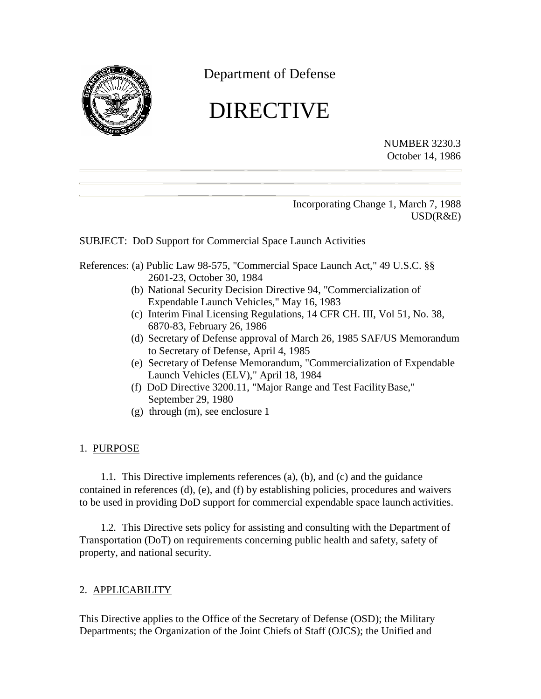

Department of Defense

# DIRECTIVE

NUMBER 3230.3 October 14, 1986

Incorporating Change 1, March 7, 1988 USD(R&E)

SUBJECT: DoD Support for Commercial Space Launch Activities

- References: (a) Public Law 98-575, "Commercial Space Launch Act," 49 U.S.C. §§ 2601-23, October 30, 1984
	- (b) National Security Decision Directive 94, "Commercialization of Expendable Launch Vehicles," May 16, 1983
	- (c) Interim Final Licensing Regulations, 14 CFR CH. III, Vol 51, No. 38, 6870-83, February 26, 1986
	- (d) Secretary of Defense approval of March 26, 1985 SAF/US Memorandum to Secretary of Defense, April 4, 1985
	- (e) Secretary of Defense Memorandum, "Commercialization of Expendable Launch Vehicles (ELV)," April 18, 1984
	- (f) DoD Directive 3200.11, "Major Range and Test FacilityBase," September 29, 1980
	- (g) through (m), see enclosure 1

#### 1. PURPOSE

1.1. This Directive implements references (a), (b), and (c) and the guidance contained in references (d), (e), and (f) by establishing policies, procedures and waivers to be used in providing DoD support for commercial expendable space launch activities.

1.2. This Directive sets policy for assisting and consulting with the Department of Transportation (DoT) on requirements concerning public health and safety, safety of property, and national security.

# 2. APPLICABILITY

This Directive applies to the Office of the Secretary of Defense (OSD); the Military Departments; the Organization of the Joint Chiefs of Staff (OJCS); the Unified and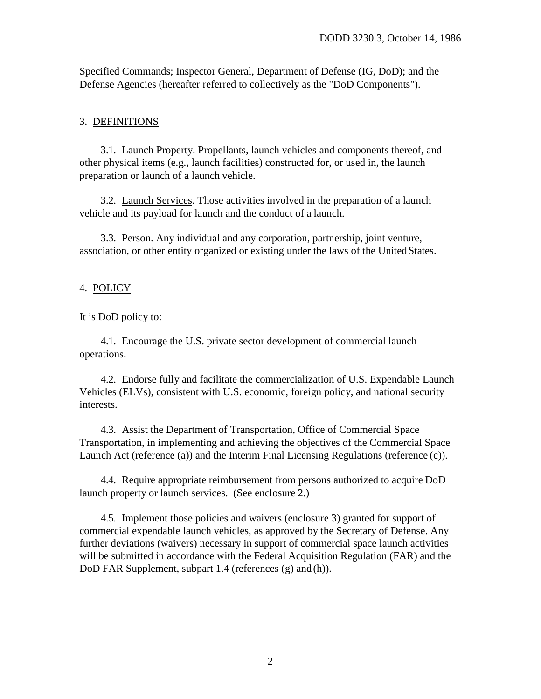Specified Commands; Inspector General, Department of Defense (IG, DoD); and the Defense Agencies (hereafter referred to collectively as the "DoD Components").

#### 3. DEFINITIONS

3.1. Launch Property. Propellants, launch vehicles and components thereof, and other physical items (e.g., launch facilities) constructed for, or used in, the launch preparation or launch of a launch vehicle.

3.2. Launch Services. Those activities involved in the preparation of a launch vehicle and its payload for launch and the conduct of a launch.

3.3. Person. Any individual and any corporation, partnership, joint venture, association, or other entity organized or existing under the laws of the United States.

#### 4. POLICY

It is DoD policy to:

4.1. Encourage the U.S. private sector development of commercial launch operations.

4.2. Endorse fully and facilitate the commercialization of U.S. Expendable Launch Vehicles (ELVs), consistent with U.S. economic, foreign policy, and national security interests.

4.3. Assist the Department of Transportation, Office of Commercial Space Transportation, in implementing and achieving the objectives of the Commercial Space Launch Act (reference (a)) and the Interim Final Licensing Regulations (reference (c)).

4.4. Require appropriate reimbursement from persons authorized to acquire DoD launch property or launch services. (See enclosure 2.)

4.5. Implement those policies and waivers (enclosure 3) granted for support of commercial expendable launch vehicles, as approved by the Secretary of Defense. Any further deviations (waivers) necessary in support of commercial space launch activities will be submitted in accordance with the Federal Acquisition Regulation (FAR) and the DoD FAR Supplement, subpart 1.4 (references (g) and (h)).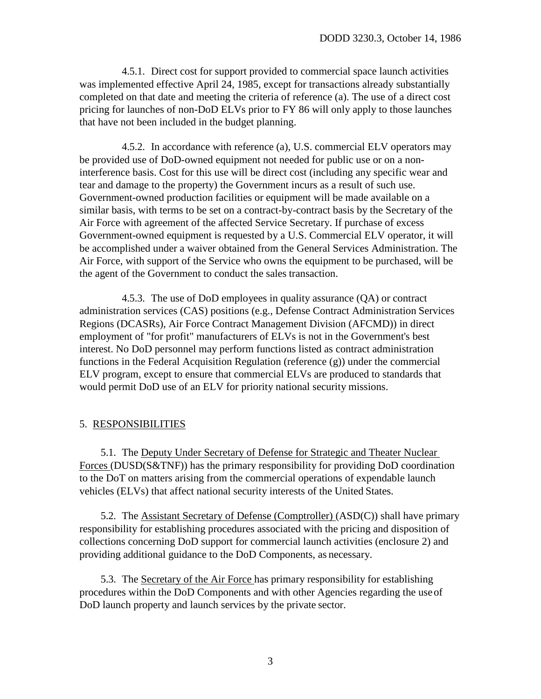4.5.1. Direct cost for support provided to commercial space launch activities was implemented effective April 24, 1985, except for transactions already substantially completed on that date and meeting the criteria of reference (a). The use of a direct cost pricing for launches of non-DoD ELVs prior to FY 86 will only apply to those launches that have not been included in the budget planning.

4.5.2. In accordance with reference (a), U.S. commercial ELV operators may be provided use of DoD-owned equipment not needed for public use or on a noninterference basis. Cost for this use will be direct cost (including any specific wear and tear and damage to the property) the Government incurs as a result of such use. Government-owned production facilities or equipment will be made available on a similar basis, with terms to be set on a contract-by-contract basis by the Secretary of the Air Force with agreement of the affected Service Secretary. If purchase of excess Government-owned equipment is requested by a U.S. Commercial ELV operator, it will be accomplished under a waiver obtained from the General Services Administration. The Air Force, with support of the Service who owns the equipment to be purchased, will be the agent of the Government to conduct the sales transaction.

4.5.3. The use of DoD employees in quality assurance (QA) or contract administration services (CAS) positions (e.g., Defense Contract Administration Services Regions (DCASRs), Air Force Contract Management Division (AFCMD)) in direct employment of "for profit" manufacturers of ELVs is not in the Government's best interest. No DoD personnel may perform functions listed as contract administration functions in the Federal Acquisition Regulation (reference (g)) under the commercial ELV program, except to ensure that commercial ELVs are produced to standards that would permit DoD use of an ELV for priority national security missions.

#### 5. RESPONSIBILITIES

5.1. The Deputy Under Secretary of Defense for Strategic and Theater Nuclear Forces (DUSD(S&TNF)) has the primary responsibility for providing DoD coordination to the DoT on matters arising from the commercial operations of expendable launch vehicles (ELVs) that affect national security interests of the United States.

5.2. The Assistant Secretary of Defense (Comptroller) (ASD(C)) shall have primary responsibility for establishing procedures associated with the pricing and disposition of collections concerning DoD support for commercial launch activities (enclosure 2) and providing additional guidance to the DoD Components, as necessary.

5.3. The Secretary of the Air Force has primary responsibility for establishing procedures within the DoD Components and with other Agencies regarding the useof DoD launch property and launch services by the private sector.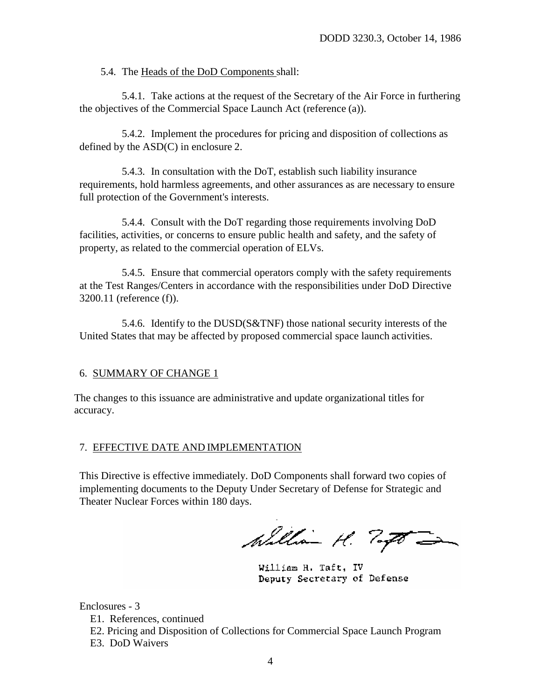5.4. The Heads of the DoD Components shall:

5.4.1. Take actions at the request of the Secretary of the Air Force in furthering the objectives of the Commercial Space Launch Act (reference (a)).

5.4.2. Implement the procedures for pricing and disposition of collections as defined by the ASD(C) in enclosure 2.

5.4.3. In consultation with the DoT, establish such liability insurance requirements, hold harmless agreements, and other assurances as are necessary to ensure full protection of the Government's interests.

5.4.4. Consult with the DoT regarding those requirements involving DoD facilities, activities, or concerns to ensure public health and safety, and the safety of property, as related to the commercial operation of ELVs.

5.4.5. Ensure that commercial operators comply with the safety requirements at the Test Ranges/Centers in accordance with the responsibilities under DoD Directive 3200.11 (reference (f)).

5.4.6. Identify to the DUSD(S&TNF) those national security interests of the United States that may be affected by proposed commercial space launch activities.

# 6. SUMMARY OF CHANGE 1

The changes to this issuance are administrative and update organizational titles for accuracy.

#### 7. EFFECTIVE DATE AND IMPLEMENTATION

This Directive is effective immediately. DoD Components shall forward two copies of implementing documents to the Deputy Under Secretary of Defense for Strategic and Theater Nuclear Forces within 180 days.

William H. Togo -

William H. Taft, IV Deputy Secretary of Defense

Enclosures - 3

E1. References, continued

E2. Pricing and Disposition of Collections for Commercial Space Launch Program E3. DoD Waivers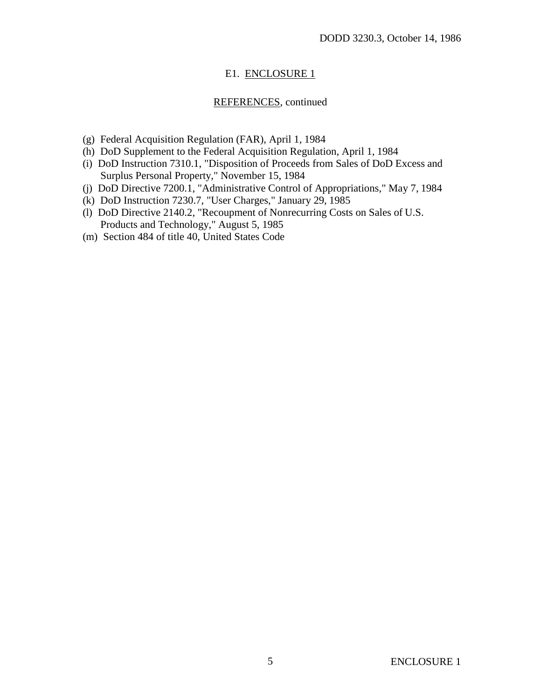# E1. ENCLOSURE 1

## REFERENCES, continued

- (g) Federal Acquisition Regulation (FAR), April 1, 1984
- (h) DoD Supplement to the Federal Acquisition Regulation, April 1, 1984
- (i) DoD Instruction 7310.1, "Disposition of Proceeds from Sales of DoD Excess and Surplus Personal Property," November 15, 1984
- (j) DoD Directive 7200.1, "Administrative Control of Appropriations," May 7, 1984
- (k) DoD Instruction 7230.7, "User Charges," January 29, 1985
- (l) DoD Directive 2140.2, "Recoupment of Nonrecurring Costs on Sales of U.S. Products and Technology," August 5, 1985
- (m) Section 484 of title 40, United States Code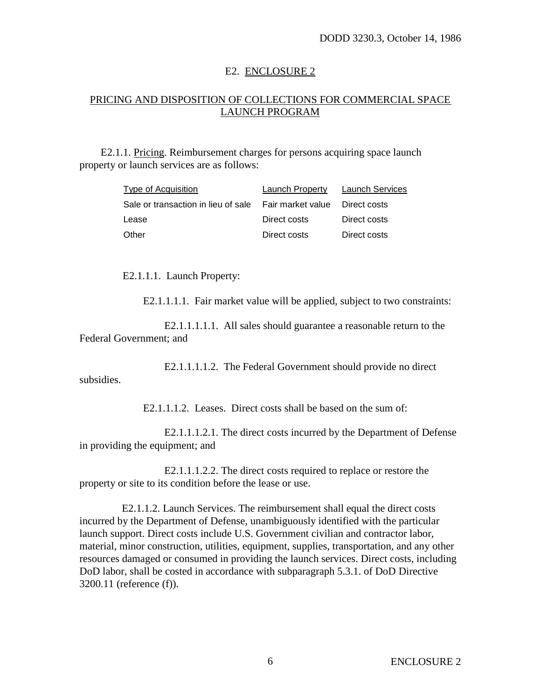## E2. ENCLOSURE 2

# PRICING AND DISPOSITION OF COLLECTIONS FOR COMMERCIAL SPACE LAUNCH PROGRAM

E2.1.1. Pricing. Reimbursement charges for persons acquiring space launch property or launch services are as follows:

| Type of Acquisition                 | Launch Property     | Launch Services |
|-------------------------------------|---------------------|-----------------|
| Sale or transaction in lieu of sale | . Fair market value | Direct costs    |
| Lease                               | Direct costs        | Direct costs    |
| Other                               | Direct costs        | Direct costs    |

E2.1.1.1. Launch Property:

E2.1.1.1.1. Fair market value will be applied, subject to two constraints:

E2.1.1.1.1.1. All sales should guarantee a reasonable return to the Federal Government; and

E2.1.1.1.1.2. The Federal Government should provide no direct subsidies.

E2.1.1.1.2. Leases. Direct costs shall be based on the sum of:

E2.1.1.1.2.1. The direct costs incurred by the Department of Defense in providing the equipment; and

E2.1.1.1.2.2. The direct costs required to replace or restore the property or site to its condition before the lease or use.

E2.1.1.2. Launch Services. The reimbursement shall equal the direct costs incurred by the Department of Defense, unambiguously identified with the particular launch support. Direct costs include U.S. Government civilian and contractor labor, material, minor construction, utilities, equipment, supplies, transportation, and any other resources damaged or consumed in providing the launch services. Direct costs, including DoD labor, shall be costed in accordance with subparagraph 5.3.1. of DoD Directive 3200.11 (reference (f)).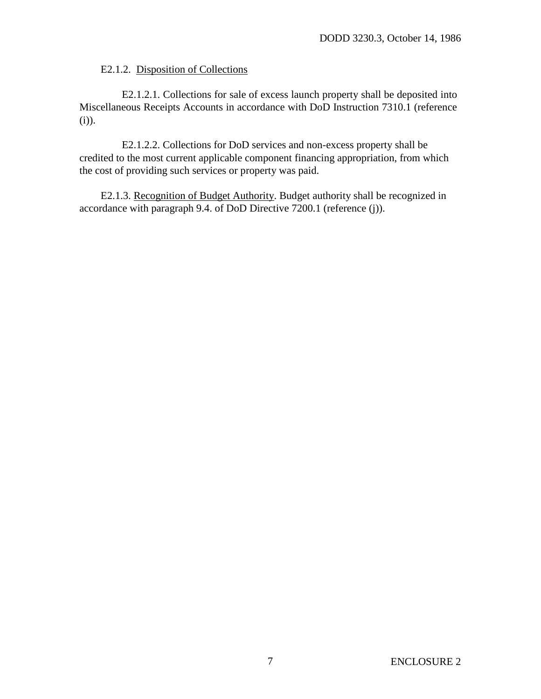## E2.1.2. Disposition of Collections

E2.1.2.1. Collections for sale of excess launch property shall be deposited into Miscellaneous Receipts Accounts in accordance with DoD Instruction 7310.1 (reference (i)).

E2.1.2.2. Collections for DoD services and non-excess property shall be credited to the most current applicable component financing appropriation, from which the cost of providing such services or property was paid.

E2.1.3. Recognition of Budget Authority. Budget authority shall be recognized in accordance with paragraph 9.4. of DoD Directive 7200.1 (reference (j)).